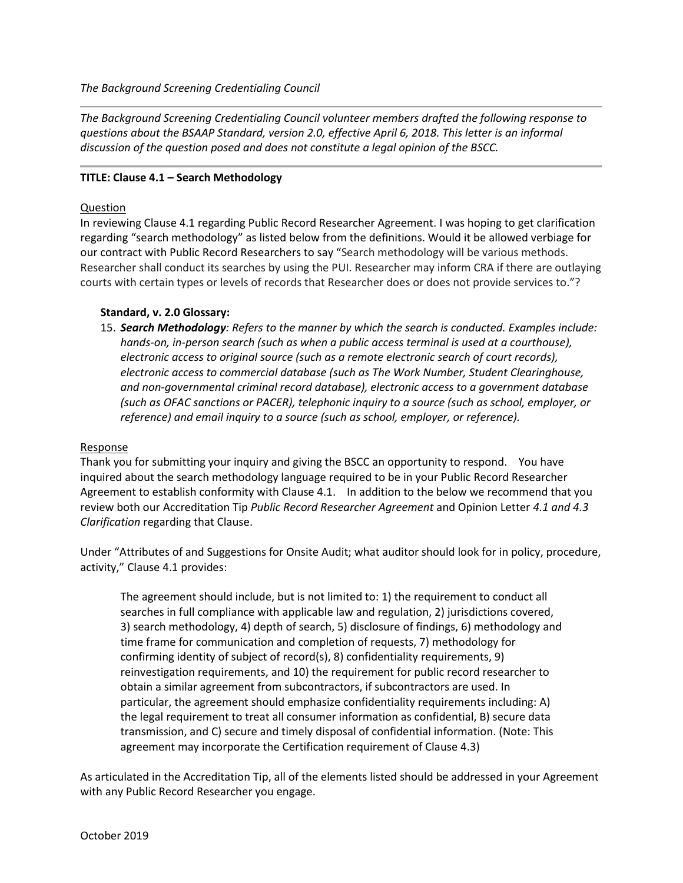*The Background Screening Credentialing Council*

*The Background Screening Credentialing Council volunteer members drafted the following response to questions about the BSAAP Standard, version 2.0, effective April 6, 2018. This letter is an informal discussion of the question posed and does not constitute a legal opinion of the BSCC.*

## **TITLE: Clause 4.1 – Search Methodology**

## Question

In reviewing Clause 4.1 regarding Public Record Researcher Agreement. I was hoping to get clarification regarding "search methodology" as listed below from the definitions. Would it be allowed verbiage for our contract with Public Record Researchers to say "Search methodology will be various methods. Researcher shall conduct its searches by using the PUI. Researcher may inform CRA if there are outlaying courts with certain types or levels of records that Researcher does or does not provide services to."?

## **Standard, v. 2.0 Glossary:**

15. *Search Methodology: Refers to the manner by which the search is conducted. Examples include:*  hands-on, in-person search (such as when a public access terminal is used at a courthouse), *electronic access to original source (such as a remote electronic search of court records), electronic access to commercial database (such as The Work Number, Student Clearinghouse, and non-governmental criminal record database), electronic access to a government database (such as OFAC sanctions or PACER), telephonic inquiry to a source (such as school, employer, or reference) and email inquiry to a source (such as school, employer, or reference).*

## Response

Thank you for submitting your inquiry and giving the BSCC an opportunity to respond. You have inquired about the search methodology language required to be in your Public Record Researcher Agreement to establish conformity with Clause 4.1. In addition to the below we recommend that you review both our Accreditation Tip *Public Record Researcher Agreement* and Opinion Letter *4.1 and 4.3 Clarification* regarding that Clause.

Under "Attributes of and Suggestions for Onsite Audit; what auditor should look for in policy, procedure, activity," Clause 4.1 provides:

The agreement should include, but is not limited to: 1) the requirement to conduct all searches in full compliance with applicable law and regulation, 2) jurisdictions covered, 3) search methodology, 4) depth of search, 5) disclosure of findings, 6) methodology and time frame for communication and completion of requests, 7) methodology for confirming identity of subject of record(s), 8) confidentiality requirements, 9) reinvestigation requirements, and 10) the requirement for public record researcher to obtain a similar agreement from subcontractors, if subcontractors are used. In particular, the agreement should emphasize confidentiality requirements including: A) the legal requirement to treat all consumer information as confidential, B) secure data transmission, and C) secure and timely disposal of confidential information. (Note: This agreement may incorporate the Certification requirement of Clause 4.3)

As articulated in the Accreditation Tip, all of the elements listed should be addressed in your Agreement with any Public Record Researcher you engage.